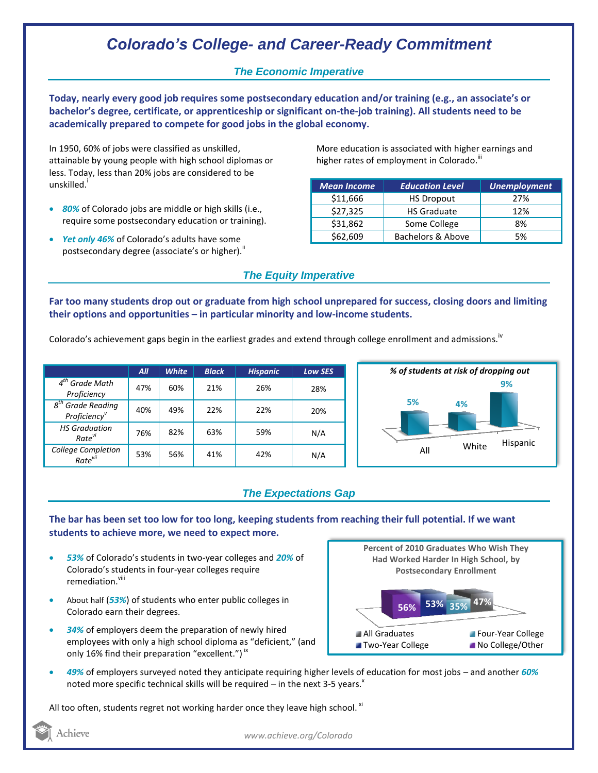# *Colorado's College- and Career-Ready Commitment*

## *The Economic Imperative*

**Today, nearly every good job requires some postsecondary education and/or training (e.g., an associate's or bachelor's degree, certificate, or apprenticeship or significant on-the-job training). All students need to be academically prepared to compete for good jobs in the global economy.**

In 1950, 60% of jobs were classified as unskilled, attainable by young people with high school diplomas or less. Today, less than 20% jobs are considered to be unskilled.<sup>i</sup>

- *80%* of Colorado jobs are middle or high skills (i.e., require some postsecondary education or training).
- *Yet only 46%* of Colorado's adults have some postsecondary degree (associate's or higher)."

More education is associated with higher earnings and higher rates of employment in Colorado.<sup>"1</sup>

| <b>Mean Income</b> | <b>Education Level</b> | <b>Unemployment</b> |
|--------------------|------------------------|---------------------|
| \$11,666           | <b>HS Dropout</b>      | 27%                 |
| \$27,325           | <b>HS Graduate</b>     | 12%                 |
| \$31,862           | Some College           | 8%                  |
| \$62,609           | Bachelors & Above      | 5%                  |

### *The Equity Imperative*

**Far too many students drop out or graduate from high school unprepared for success, closing doors and limiting their options and opportunities – in particular minority and low-income students.** 

Colorado's achievement gaps begin in the earliest grades and extend through college enrollment and admissions.<sup>iv</sup>

|                                                              | All | <b>White</b> | <b>Black</b> | <b>Hispanic</b> | <b>Low SES</b> |
|--------------------------------------------------------------|-----|--------------|--------------|-----------------|----------------|
| $4^{tn}$<br>Grade Math<br>Proficiency                        | 47% | 60%          | 21%          | 26%             | 28%            |
| $g^{th}$<br><b>Grade Reading</b><br>Proficiency <sup>v</sup> | 40% | 49%          | 22%          | 22%             | 20%            |
| <b>HS Graduation</b><br>Rate <sup>vi</sup>                   | 76% | 82%          | 63%          | 59%             | N/A            |
| College Completion<br>Rate <sup>vii</sup>                    | 53% | 56%          | 41%          | 42%             | N/A            |



## *The Expectations Gap*

**The bar has been set too low for too long, keeping students from reaching their full potential. If we want students to achieve more, we need to expect more.**

- *53%* of Colorado's students in two-year colleges and *20%* of Colorado's students in four-year colleges require remediation.<sup>viii</sup>
- About half (*53%*) of students who enter public colleges in Colorado earn their degrees.
- *34%* of employers deem the preparation of newly hired employees with only a high school diploma as "deficient," (and only 16% find their preparation "excellent.")  $\dot{ }$   $\,$



 *49%* of employers surveyed noted they anticipate requiring higher levels of education for most jobs – and another *60%* noted more specific technical skills will be required – in the next 3-5 years. $^x$ 

All too often, students regret not working harder once they leave high school.  $^{xi}$ 

Achieve

*www.achieve.org/Colorado*